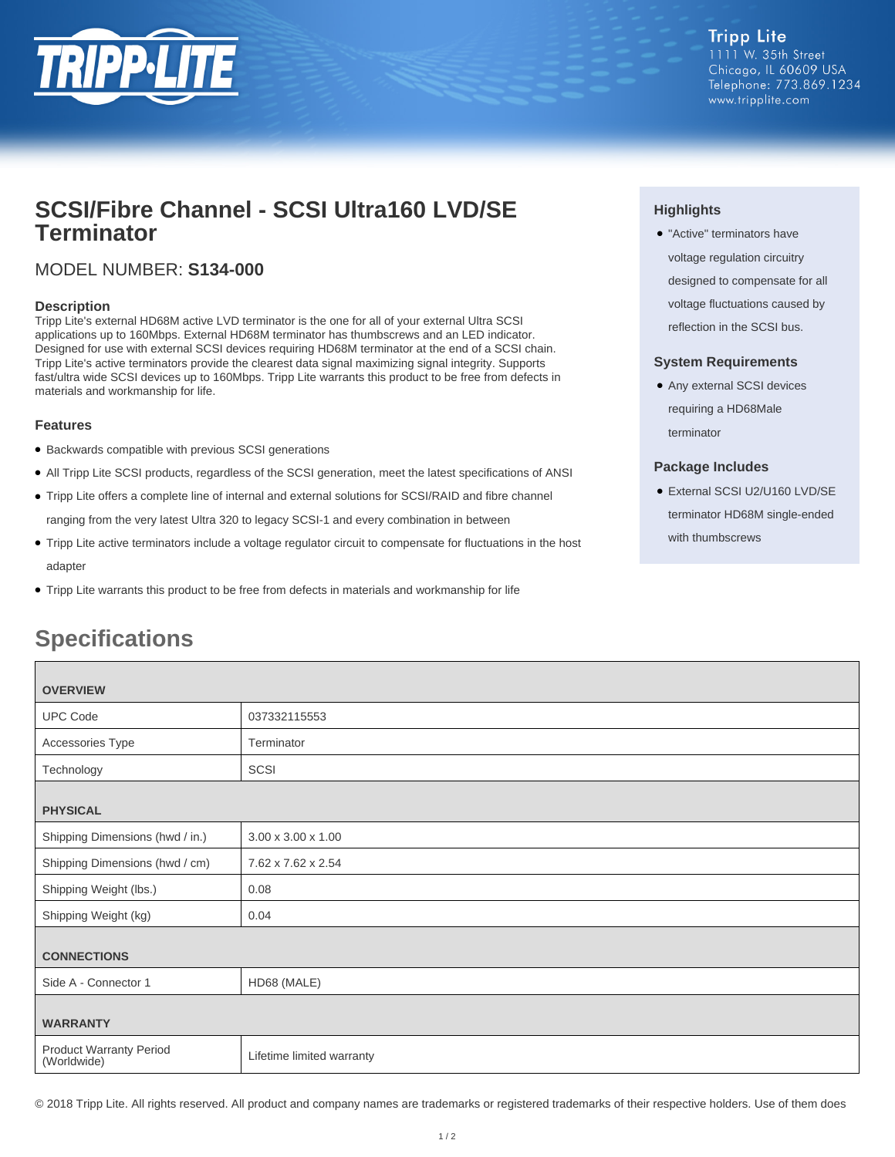

## **SCSI/Fibre Channel - SCSI Ultra160 LVD/SE Terminator**

### MODEL NUMBER: **S134-000**

### **Description**

Tripp Lite's external HD68M active LVD terminator is the one for all of your external Ultra SCSI applications up to 160Mbps. External HD68M terminator has thumbscrews and an LED indicator. Designed for use with external SCSI devices requiring HD68M terminator at the end of a SCSI chain. Tripp Lite's active terminators provide the clearest data signal maximizing signal integrity. Supports fast/ultra wide SCSI devices up to 160Mbps. Tripp Lite warrants this product to be free from defects in materials and workmanship for life.

### **Features**

- Backwards compatible with previous SCSI generations
- All Tripp Lite SCSI products, regardless of the SCSI generation, meet the latest specifications of ANSI
- Tripp Lite offers a complete line of internal and external solutions for SCSI/RAID and fibre channel ranging from the very latest Ultra 320 to legacy SCSI-1 and every combination in between
- Tripp Lite active terminators include a voltage regulator circuit to compensate for fluctuations in the host adapter
- Tripp Lite warrants this product to be free from defects in materials and workmanship for life

# **Specifications**

| <b>OVERVIEW</b>                               |                                |
|-----------------------------------------------|--------------------------------|
| <b>UPC Code</b>                               | 037332115553                   |
| Accessories Type                              | Terminator                     |
| Technology                                    | SCSI                           |
| <b>PHYSICAL</b>                               |                                |
| Shipping Dimensions (hwd / in.)               | $3.00 \times 3.00 \times 1.00$ |
| Shipping Dimensions (hwd / cm)                | 7.62 x 7.62 x 2.54             |
| Shipping Weight (lbs.)                        | 0.08                           |
| Shipping Weight (kg)                          | 0.04                           |
| <b>CONNECTIONS</b>                            |                                |
| Side A - Connector 1                          | HD68 (MALE)                    |
| <b>WARRANTY</b>                               |                                |
| <b>Product Warranty Period</b><br>(Worldwide) | Lifetime limited warranty      |

© 2018 Tripp Lite. All rights reserved. All product and company names are trademarks or registered trademarks of their respective holders. Use of them does

### **Highlights**

● "Active" terminators have voltage regulation circuitry designed to compensate for all voltage fluctuations caused by reflection in the SCSI bus.

### **System Requirements**

● Any external SCSI devices requiring a HD68Male terminator

### **Package Includes**

● External SCSI U2/U160 LVD/SE terminator HD68M single-ended with thumbscrews